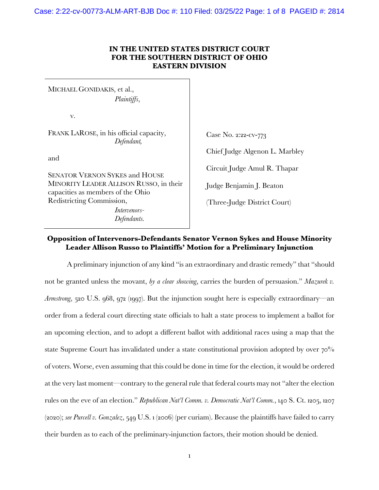Case: 2:22-cv-00773-ALM-ART-BJB Doc #: 110 Filed: 03/25/22 Page: 1 of 8 PAGEID #: 2814

## **IN THE UNITED STATES DISTRICT COURT FOR THE SOUTHERN DISTRICT OF OHIO EASTERN DIVISION**

MICHAEL GONIDAKIS, et al., *Plaintiffs*, v.

FRANK LAROSE, in his official capacity, *Defendant,*

and

SENATOR VERNON SYKES and HOUSE MINORITY LEADER ALLISON RUSSO, in their capacities as members of the Ohio Redistricting Commission, *Intervenors-*

*Defendants.*

Case No. 2:22-cv-773 Chief Judge Algenon L. Marbley Circuit Judge Amul R. Thapar Judge Benjamin J. Beaton (Three-Judge District Court)

## **Opposition of Intervenors-Defendants Senator Vernon Sykes and House Minority Leader Allison Russo to Plaintiffs' Motion for a Preliminary Injunction**

A preliminary injunction of any kind "is an extraordinary and drastic remedy" that "should not be granted unless the movant, *by a clear showing*, carries the burden of persuasion." *Mazurek v. Armstrong*, 520 U.S. 968, 972 (1997). But the injunction sought here is especially extraordinary—an order from a federal court directing state officials to halt a state process to implement a ballot for an upcoming election, and to adopt a different ballot with additional races using a map that the state Supreme Court has invalidated under a state constitutional provision adopted by over  $70\%$ of voters. Worse, even assuming that this could be done in time for the election, it would be ordered at the very last moment—contrary to the general rule that federal courts may not "alter the election rules on the eve of an election." *Republican Nat'l Comm. v. Democratic Nat'l Comm.*, 140 S. Ct. 1205, 1207 (2020); *see Purcell v. Gonzalez*, 549 U.S. 1 (2006) (per curiam). Because the plaintiffs have failed to carry their burden as to each of the preliminary-injunction factors, their motion should be denied.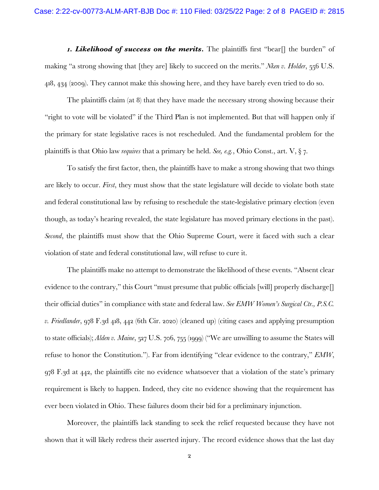*1. Likelihood of success on the merits.* The plaintiffs first "bear[] the burden" of making "a strong showing that [they are] likely to succeed on the merits." *Nken v. Holder*, 556 U.S. 418, 434 (2009). They cannot make this showing here, and they have barely even tried to do so.

The plaintiffs claim (at 8) that they have made the necessary strong showing because their "right to vote will be violated" if the Third Plan is not implemented. But that will happen only if the primary for state legislative races is not rescheduled. And the fundamental problem for the plaintiffs is that Ohio law *requires* that a primary be held. *See, e.g.*, Ohio Const., art. V, § 7.

To satisfy the first factor, then, the plaintiffs have to make a strong showing that two things are likely to occur. *First*, they must show that the state legislature will decide to violate both state and federal constitutional law by refusing to reschedule the state-legislative primary election (even though, as today's hearing revealed, the state legislature has moved primary elections in the past). *Second*, the plaintiffs must show that the Ohio Supreme Court, were it faced with such a clear violation of state and federal constitutional law, will refuse to cure it.

The plaintiffs make no attempt to demonstrate the likelihood of these events. "Absent clear evidence to the contrary," this Court "must presume that public officials [will] properly discharge  $\Box$ their official duties" in compliance with state and federal law. *See EMW Women's Surgical Ctr., P.S.C. v. Friedlander*, 978 F.3d 418, 442 (6th Cir. 2020) (cleaned up) (citing cases and applying presumption to state officials); *Alden v. Maine*, 527 U.S. 706, 755 (1999) ("We are unwilling to assume the States will refuse to honor the Constitution."). Far from identifying "clear evidence to the contrary," *EMW*, 978 F.3d at 442, the plaintiffs cite no evidence whatsoever that a violation of the state's primary requirement is likely to happen. Indeed, they cite no evidence showing that the requirement has ever been violated in Ohio. These failures doom their bid for a preliminary injunction.

Moreover, the plaintiffs lack standing to seek the relief requested because they have not shown that it will likely redress their asserted injury. The record evidence shows that the last day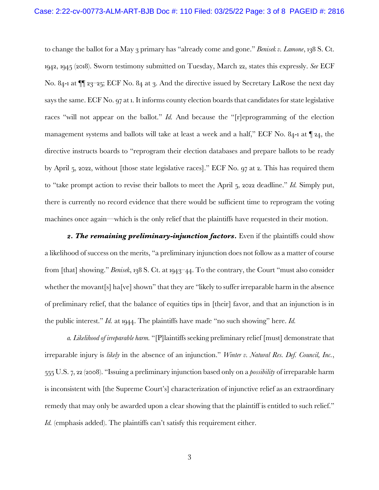to change the ballot for a May 3 primary has "already come and gone." *Benisek v. Lamone*, 138 S. Ct. 1942, 1945 (2018). Sworn testimony submitted on Tuesday, March 22, states this expressly. *See* ECF No. 84-1 at  $\P$  23–25; ECF No. 84 at 3. And the directive issued by Secretary LaRose the next day says the same. ECF No. 97 at 1. It informs county election boards that candidates for state legislative races "will not appear on the ballot." *Id.* And because the "[r]eprogramming of the election management systems and ballots will take at least a week and a half," ECF No. 84-1 at ¶ 24, the directive instructs boards to "reprogram their election databases and prepare ballots to be ready by April 5, 2022, without [those state legislative races]." ECF No. 97 at 2. This has required them to "take prompt action to revise their ballots to meet the April 5, 2022 deadline." *Id.* Simply put, there is currently no record evidence that there would be sufficient time to reprogram the voting machines once again—which is the only relief that the plaintiffs have requested in their motion.

2. The remaining preliminary-injunction factors. Even if the plaintiffs could show a likelihood of success on the merits, "a preliminary injunction does not follow as a matter of course from [that] showing." *Benisek*, 138 S. Ct. at 1943–44. To the contrary, the Court "must also consider whether the movant[s] ha[ve] shown" that they are "likely to suffer irreparable harm in the absence of preliminary relief, that the balance of equities tips in [their] favor, and that an injunction is in the public interest." *Id.* at 1944. The plaintiffs have made "no such showing" here. *Id.*

*a. Likelihood of irreparable harm.* "[P]laintiffs seeking preliminary relief [must] demonstrate that irreparable injury is *likely* in the absence of an injunction." *Winter v. Natural Res. Def. Council, Inc.*, 555 U.S. 7, 22 (2008). "Issuing a preliminary injunction based only on a *possibility* of irreparable harm is inconsistent with [the Supreme Court's] characterization of injunctive relief as an extraordinary remedy that may only be awarded upon a clear showing that the plaintiff is entitled to such relief." *Id.* (emphasis added). The plaintiffs can't satisfy this requirement either.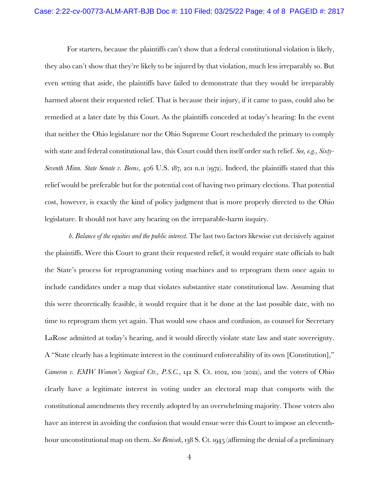For starters, because the plaintiffs can't show that a federal constitutional violation is likely, they also can't show that they're likely to be injured by that violation, much less irreparably so. But even setting that aside, the plaintiffs have failed to demonstrate that they would be irreparably harmed absent their requested relief. That is because their injury, if it came to pass, could also be remedied at a later date by this Court. As the plaintiffs conceded at today's hearing: In the event that neither the Ohio legislature nor the Ohio Supreme Court rescheduled the primary to comply with state and federal constitutional law, this Court could then itself order such relief. *See, e.g., Sixty-Seventh Minn. State Senate v. Beens*, 406 U.S. 187, 201 n.11 (1972). Indeed, the plaintiffs stated that this relief would be preferable but for the potential cost of having two primary elections. That potential cost, however, is exactly the kind of policy judgment that is more properly directed to the Ohio legislature. It should not have any bearing on the irreparable-harm inquiry.

*b*. *Balance of the equities and the public interest.* The last two factors likewise cut decisively against the plaintiffs. Were this Court to grant their requested relief, it would require state officials to halt the State's process for reprogramming voting machines and to reprogram them once again to include candidates under a map that violates substantive state constitutional law. Assuming that this were theoretically feasible, it would require that it be done at the last possible date, with no time to reprogram them yet again. That would sow chaos and confusion, as counsel for Secretary LaRose admitted at today's hearing, and it would directly violate state law and state sovereignty. A "State clearly has a legitimate interest in the continued enforceability of its own [Constitution]," *Cameron v. EMW Women's Surgical Ctr., P.S.C.*, 142 S. Ct. 1002, 1011 (2022), and the voters of Ohio clearly have a legitimate interest in voting under an electoral map that comports with the constitutional amendments they recently adopted by an overwhelming majority. Those voters also have an interest in avoiding the confusion that would ensue were this Court to impose an eleventhhour unconstitutional map on them. *See Benisek*, 138 S. Ct. 1945 (affirming the denial of a preliminary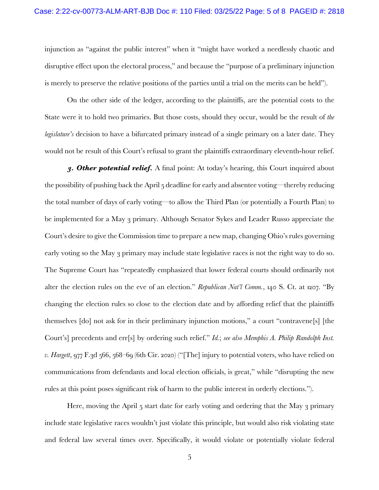injunction as "against the public interest" when it "might have worked a needlessly chaotic and disruptive effect upon the electoral process," and because the "purpose of a preliminary injunction is merely to preserve the relative positions of the parties until a trial on the merits can be held").

On the other side of the ledger, according to the plaintiffs, are the potential costs to the State were it to hold two primaries. But those costs, should they occur, would be the result of *the legislature's* decision to have a bifurcated primary instead of a single primary on a later date. They would not be result of this Court's refusal to grant the plaintiffs extraordinary eleventh-hour relief.

*3. Other potential relief.* A final point: At today's hearing, this Court inquired about the possibility of pushing back the April 5 deadline for early and absentee voting—thereby reducing the total number of days of early voting—to allow the Third Plan (or potentially a Fourth Plan) to be implemented for a May 3 primary. Although Senator Sykes and Leader Russo appreciate the Court's desire to give the Commission time to prepare a new map, changing Ohio's rules governing early voting so the May 3 primary may include state legislative races is not the right way to do so. The Supreme Court has "repeatedly emphasized that lower federal courts should ordinarily not alter the election rules on the eve of an election." *Republican Nat'l Comm.*, 140 S. Ct. at 1207. "By changing the election rules so close to the election date and by affording relief that the plaintiffs themselves [do] not ask for in their preliminary injunction motions," a court "contravene[s] [the Court's] precedents and err[s] by ordering such relief." *Id.*; *see also Memphis A. Philip Randolph Inst. v. Hargett*, 977 F.3d 566, 568–69 (6th Cir. 2020) ("[The] injury to potential voters, who have relied on communications from defendants and local election officials, is great," while "disrupting the new rules at this point poses significant risk of harm to the public interest in orderly elections.").

Here, moving the April 5 start date for early voting and ordering that the May 3 primary include state legislative races wouldn't just violate this principle, but would also risk violating state and federal law several times over. Specifically, it would violate or potentially violate federal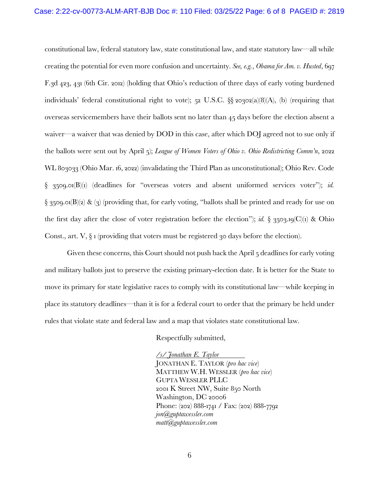constitutional law, federal statutory law, state constitutional law, and state statutory law—all while creating the potential for even more confusion and uncertainty. *See, e.g.*, *Obama for Am. v. Husted*, 697 F.3d 423, 431 (6th Cir. 2012) (holding that Ohio's reduction of three days of early voting burdened individuals' federal constitutional right to vote); 52 U.S.C. §§ 20302(a)(8)(A), (b) (requiring that overseas servicemembers have their ballots sent no later than 45 days before the election absent a waiver—a waiver that was denied by DOD in this case, after which DOJ agreed not to sue only if the ballots were sent out by April 5); *League of Women Voters of Ohio v. Ohio Redistricting Comm'n*, 2022 WL 803033 (Ohio Mar. 16, 2022) (invalidating the Third Plan as unconstitutional); Ohio Rev. Code § 3509.01(B)(1) (deadlines for "overseas voters and absent uniformed services voter"); *id.*  $\S$  3509.01(B)(2) & (3) (providing that, for early voting, "ballots shall be printed and ready for use on the first day after the close of voter registration before the election"); *id.*  $\S$  3503.19(C)(1) & Ohio Const., art.  $V$ ,  $\S$  1 (providing that voters must be registered 30 days before the election).

Given these concerns, this Court should not push back the April 5 deadlines for early voting and military ballots just to preserve the existing primary-election date. It is better for the State to move its primary for state legislative races to comply with its constitutional law—while keeping in place its statutory deadlines—than it is for a federal court to order that the primary be held under rules that violate state and federal law and a map that violates state constitutional law.

Respectfully submitted,

*/s/ Jonathan E. Taylor* JONATHAN E. TAYLOR (*pro hac vice*) MATTHEW W.H. WESSLER (*pro hac vice*) GUPTA WESSLER PLLC 2001 K Street NW, Suite 850 North Washington, DC 20006 Phone: (202) 888-1741 / Fax: (202) 888-7792 *jon@guptawessler.com matt@guptawessler.com*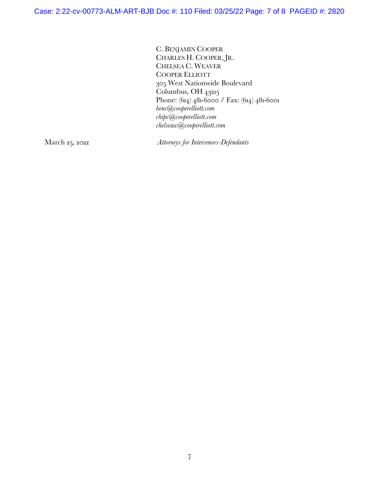C. BENJAMIN COOPER CHARLES H. COOPER, JR. CHELSEA C. WEAVER COOPER ELLIOTT 305 West Nationwide Boulevard Columbus, OH 43215 Phone: (614) 481-6000 / Fax: (614) 481-6001 *benc@cooperelliott.com chipc@cooperelliott.com chelseaw@cooperelliott.com*

March 25, 2022 *Attorneys for Intervenors-Defendants*